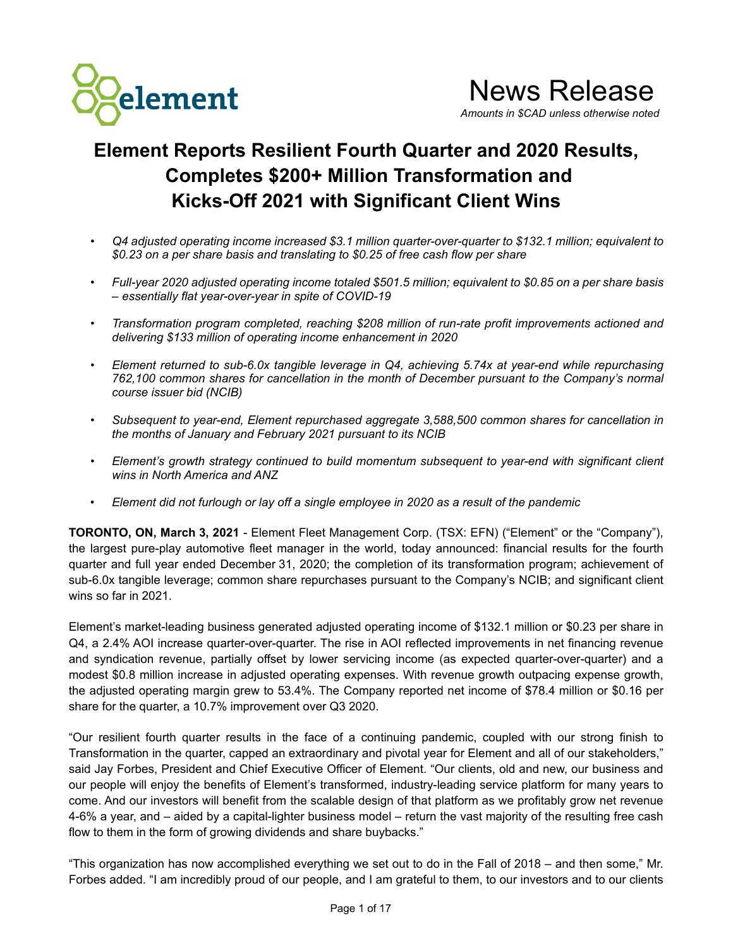

*Amounts in \$CAD unless otherwise noted*

# **Element Reports Resilient Fourth Quarter and 2020 Results, Completes \$200+ Million Transformation and Kicks-Off 2021 with Significant Client Wins**

- *• Q4 adjusted operating income increased \$3.1 million quarter-over-quarter to \$132.1 million; equivalent to \$0.23 on a per share basis and translating to \$0.25 of free cash flow per share*
- *• Full-year 2020 adjusted operating income totaled \$501.5 million; equivalent to \$0.85 on a per share basis – essentially flat year-over-year in spite of COVID-19*
- *• Transformation program completed, reaching \$208 million of run-rate profit improvements actioned and delivering \$133 million of operating income enhancement in 2020*
- *Element returned to sub-6.0x tangible leverage in Q4, achieving 5.74x at year-end while repurchasing 762,100 common shares for cancellation in the month of December pursuant to the Company's normal course issuer bid (NCIB)*
- *• Subsequent to year-end, Element repurchased aggregate 3,588,500 common shares for cancellation in the months of January and February 2021 pursuant to its NCIB*
- *• Element's growth strategy continued to build momentum subsequent to year-end with significant client wins in North America and ANZ*
- *• Element did not furlough or lay off a single employee in 2020 as a result of the pandemic*

**TORONTO, ON, March 3, 2021** - Element Fleet Management Corp. (TSX: EFN) ("Element" or the "Company"), the largest pure-play automotive fleet manager in the world, today announced: financial results for the fourth quarter and full year ended December 31, 2020; the completion of its transformation program; achievement of sub-6.0x tangible leverage; common share repurchases pursuant to the Company's NCIB; and significant client wins so far in 2021.

Element's market-leading business generated adjusted operating income of \$132.1 million or \$0.23 per share in Q4, a 2.4% AOI increase quarter-over-quarter. The rise in AOI reflected improvements in net financing revenue and syndication revenue, partially offset by lower servicing income (as expected quarter-over-quarter) and a modest \$0.8 million increase in adjusted operating expenses. With revenue growth outpacing expense growth, the adjusted operating margin grew to 53.4%. The Company reported net income of \$78.4 million or \$0.16 per share for the quarter, a 10.7% improvement over Q3 2020.

"Our resilient fourth quarter results in the face of a continuing pandemic, coupled with our strong finish to Transformation in the quarter, capped an extraordinary and pivotal year for Element and all of our stakeholders," said Jay Forbes, President and Chief Executive Officer of Element. "Our clients, old and new, our business and our people will enjoy the benefits of Element's transformed, industry-leading service platform for many years to come. And our investors will benefit from the scalable design of that platform as we profitably grow net revenue 4-6% a year, and – aided by a capital-lighter business model – return the vast majority of the resulting free cash flow to them in the form of growing dividends and share buybacks."

"This organization has now accomplished everything we set out to do in the Fall of 2018 – and then some," Mr. Forbes added. "I am incredibly proud of our people, and I am grateful to them, to our investors and to our clients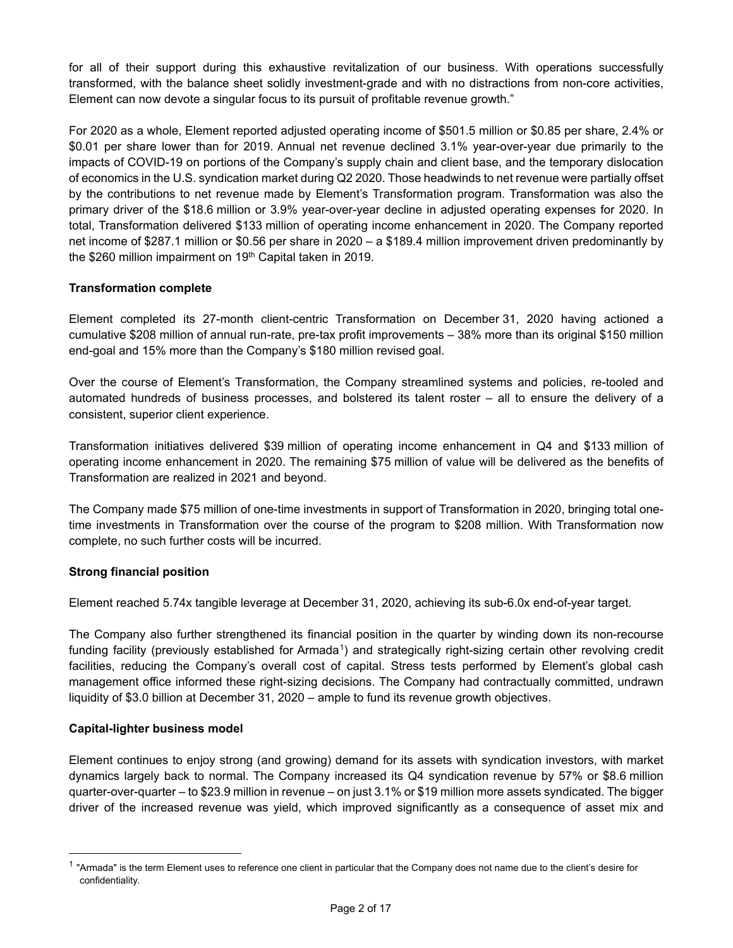for all of their support during this exhaustive revitalization of our business. With operations successfully transformed, with the balance sheet solidly investment-grade and with no distractions from non-core activities, Element can now devote a singular focus to its pursuit of profitable revenue growth."

For 2020 as a whole, Element reported adjusted operating income of \$501.5 million or \$0.85 per share, 2.4% or \$0.01 per share lower than for 2019. Annual net revenue declined 3.1% year-over-year due primarily to the impacts of COVID-19 on portions of the Company's supply chain and client base, and the temporary dislocation of economics in the U.S. syndication market during Q2 2020. Those headwinds to net revenue were partially offset by the contributions to net revenue made by Element's Transformation program. Transformation was also the primary driver of the \$18.6 million or 3.9% year-over-year decline in adjusted operating expenses for 2020. In total, Transformation delivered \$133 million of operating income enhancement in 2020. The Company reported net income of \$287.1 million or \$0.56 per share in 2020 – a \$189.4 million improvement driven predominantly by the \$260 million impairment on 19<sup>th</sup> Capital taken in 2019.

# **Transformation complete**

Element completed its 27-month client-centric Transformation on December 31, 2020 having actioned a cumulative \$208 million of annual run-rate, pre-tax profit improvements – 38% more than its original \$150 million end-goal and 15% more than the Company's \$180 million revised goal.

Over the course of Element's Transformation, the Company streamlined systems and policies, re-tooled and automated hundreds of business processes, and bolstered its talent roster – all to ensure the delivery of a consistent, superior client experience.

Transformation initiatives delivered \$39 million of operating income enhancement in Q4 and \$133 million of operating income enhancement in 2020. The remaining \$75 million of value will be delivered as the benefits of Transformation are realized in 2021 and beyond.

The Company made \$75 million of one-time investments in support of Transformation in 2020, bringing total onetime investments in Transformation over the course of the program to \$208 million. With Transformation now complete, no such further costs will be incurred.

# **Strong financial position**

Element reached 5.74x tangible leverage at December 31, 2020, achieving its sub-6.0x end-of-year target.

The Company also further strengthened its financial position in the quarter by winding down its non-recourse funding facility (previously established for Armada<sup>[1](#page-1-0)</sup>) and strategically right-sizing certain other revolving credit facilities, reducing the Company's overall cost of capital. Stress tests performed by Element's global cash management office informed these right-sizing decisions. The Company had contractually committed, undrawn liquidity of \$3.0 billion at December 31, 2020 – ample to fund its revenue growth objectives.

# **Capital-lighter business model**

Element continues to enjoy strong (and growing) demand for its assets with syndication investors, with market dynamics largely back to normal. The Company increased its Q4 syndication revenue by 57% or \$8.6 million quarter-over-quarter – to \$23.9 million in revenue – on just 3.1% or \$19 million more assets syndicated. The bigger driver of the increased revenue was yield, which improved significantly as a consequence of asset mix and

<span id="page-1-0"></span> $1$  "Armada" is the term Element uses to reference one client in particular that the Company does not name due to the client's desire for confidentiality.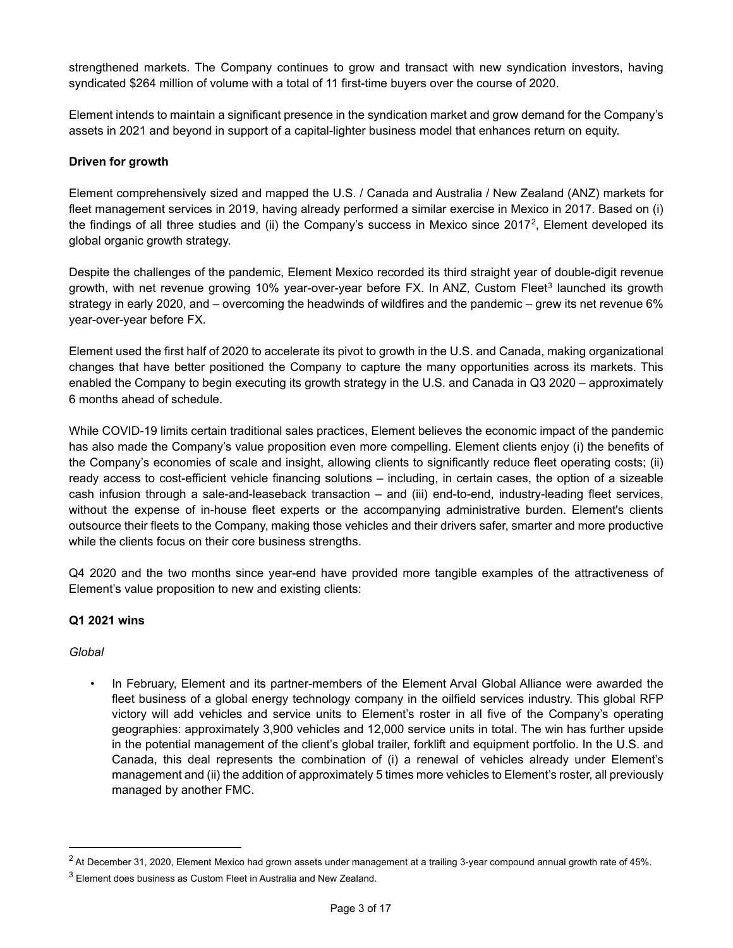strengthened markets. The Company continues to grow and transact with new syndication investors, having syndicated \$264 million of volume with a total of 11 first-time buyers over the course of 2020.

Element intends to maintain a significant presence in the syndication market and grow demand for the Company's assets in 2021 and beyond in support of a capital-lighter business model that enhances return on equity.

# **Driven for growth**

Element comprehensively sized and mapped the U.S. / Canada and Australia / New Zealand (ANZ) markets for fleet management services in 2019, having already performed a similar exercise in Mexico in 2017. Based on (i) the findings of all three studies and (ii) the Company's success in Mexico since 2017[2,](#page-2-0) Element developed its global organic growth strategy.

Despite the challenges of the pandemic, Element Mexico recorded its third straight year of double-digit revenue growth, with net revenue growing 10% year-over-year before FX. In ANZ, Custom Fleet<sup>[3](#page-2-1)</sup> launched its growth strategy in early 2020, and – overcoming the headwinds of wildfires and the pandemic – grew its net revenue 6% year-over-year before FX.

Element used the first half of 2020 to accelerate its pivot to growth in the U.S. and Canada, making organizational changes that have better positioned the Company to capture the many opportunities across its markets. This enabled the Company to begin executing its growth strategy in the U.S. and Canada in Q3 2020 – approximately 6 months ahead of schedule.

While COVID-19 limits certain traditional sales practices, Element believes the economic impact of the pandemic has also made the Company's value proposition even more compelling. Element clients enjoy (i) the benefits of the Company's economies of scale and insight, allowing clients to significantly reduce fleet operating costs; (ii) ready access to cost-efficient vehicle financing solutions – including, in certain cases, the option of a sizeable cash infusion through a sale-and-leaseback transaction – and (iii) end-to-end, industry-leading fleet services, without the expense of in-house fleet experts or the accompanying administrative burden. Element's clients outsource their fleets to the Company, making those vehicles and their drivers safer, smarter and more productive while the clients focus on their core business strengths.

Q4 2020 and the two months since year-end have provided more tangible examples of the attractiveness of Element's value proposition to new and existing clients:

# **Q1 2021 wins**

*Global*

• In February, Element and its partner-members of the Element Arval Global Alliance were awarded the fleet business of a global energy technology company in the oilfield services industry. This global RFP victory will add vehicles and service units to Element's roster in all five of the Company's operating geographies: approximately 3,900 vehicles and 12,000 service units in total. The win has further upside in the potential management of the client's global trailer, forklift and equipment portfolio. In the U.S. and Canada, this deal represents the combination of (i) a renewal of vehicles already under Element's management and (ii) the addition of approximately 5 times more vehicles to Element's roster, all previously managed by another FMC.

<span id="page-2-0"></span> $^2$  At December 31, 2020, Element Mexico had grown assets under management at a trailing 3-year compound annual growth rate of 45%.

<span id="page-2-1"></span> $3$  Element does business as Custom Fleet in Australia and New Zealand.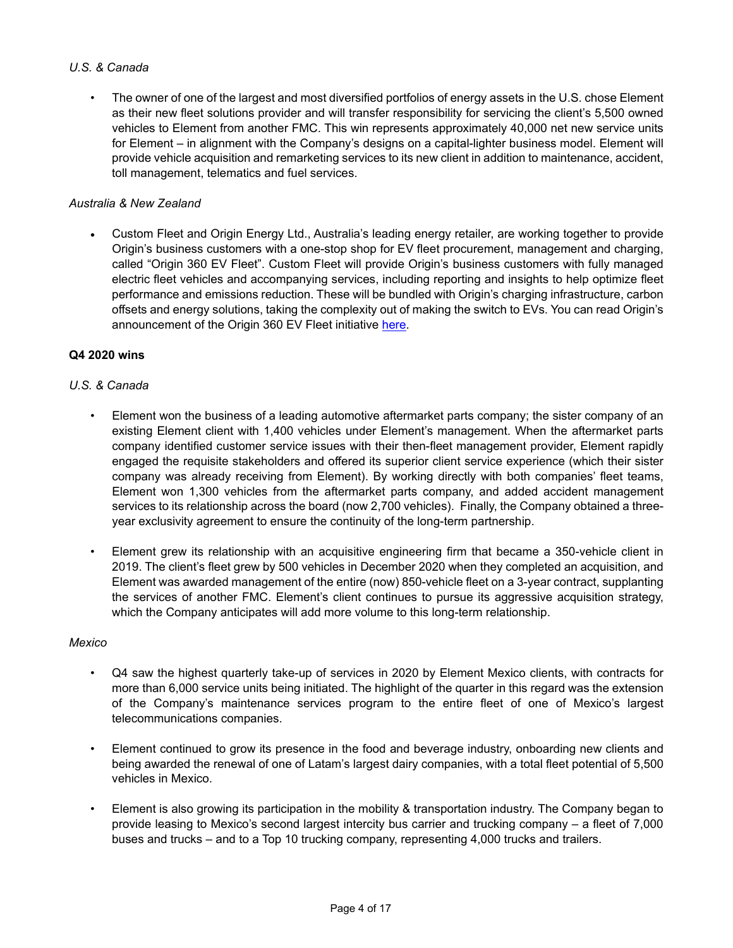# *U.S. & Canada*

• The owner of one of the largest and most diversified portfolios of energy assets in the U.S. chose Element as their new fleet solutions provider and will transfer responsibility for servicing the client's 5,500 owned vehicles to Element from another FMC. This win represents approximately 40,000 net new service units for Element – in alignment with the Company's designs on a capital-lighter business model. Element will provide vehicle acquisition and remarketing services to its new client in addition to maintenance, accident, toll management, telematics and fuel services.

### *Australia & New Zealand*

• Custom Fleet and Origin Energy Ltd., Australia's leading energy retailer, are working together to provide Origin's business customers with a one-stop shop for EV fleet procurement, management and charging, called "Origin 360 EV Fleet". Custom Fleet will provide Origin's business customers with fully managed electric fleet vehicles and accompanying services, including reporting and insights to help optimize fleet performance and emissions reduction. These will be bundled with Origin's charging infrastructure, carbon offsets and energy solutions, taking the complexity out of making the switch to EVs. You can read Origin's announcement of the Origin 360 EV Fleet initiative [here.](https://www.originenergy.com.au/about/investors-media/media-centre/origin_launches_australian_first_ev_fleet_solution.html)

# **Q4 2020 wins**

# *U.S. & Canada*

- Element won the business of a leading automotive aftermarket parts company; the sister company of an existing Element client with 1,400 vehicles under Element's management. When the aftermarket parts company identified customer service issues with their then-fleet management provider, Element rapidly engaged the requisite stakeholders and offered its superior client service experience (which their sister company was already receiving from Element). By working directly with both companies' fleet teams, Element won 1,300 vehicles from the aftermarket parts company, and added accident management services to its relationship across the board (now 2,700 vehicles). Finally, the Company obtained a threeyear exclusivity agreement to ensure the continuity of the long-term partnership.
- Element grew its relationship with an acquisitive engineering firm that became a 350-vehicle client in 2019. The client's fleet grew by 500 vehicles in December 2020 when they completed an acquisition, and Element was awarded management of the entire (now) 850-vehicle fleet on a 3-year contract, supplanting the services of another FMC. Element's client continues to pursue its aggressive acquisition strategy, which the Company anticipates will add more volume to this long-term relationship.

#### *Mexico*

- Q4 saw the highest quarterly take-up of services in 2020 by Element Mexico clients, with contracts for more than 6,000 service units being initiated. The highlight of the quarter in this regard was the extension of the Company's maintenance services program to the entire fleet of one of Mexico's largest telecommunications companies.
- Element continued to grow its presence in the food and beverage industry, onboarding new clients and being awarded the renewal of one of Latam's largest dairy companies, with a total fleet potential of 5,500 vehicles in Mexico.
- Element is also growing its participation in the mobility & transportation industry. The Company began to provide leasing to Mexico's second largest intercity bus carrier and trucking company – a fleet of 7,000 buses and trucks – and to a Top 10 trucking company, representing 4,000 trucks and trailers.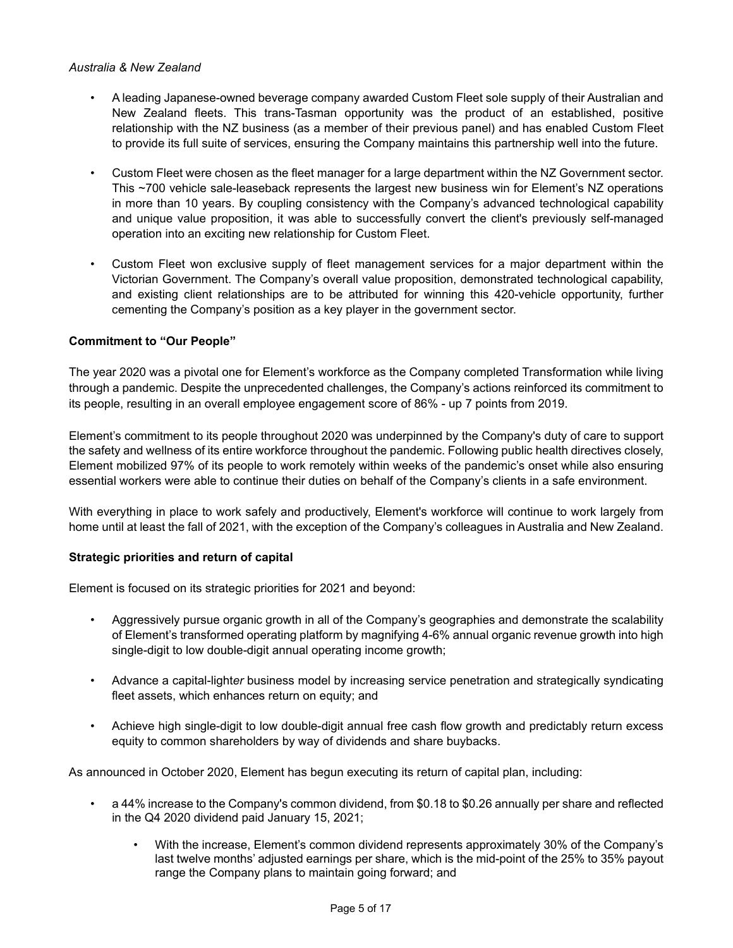## *Australia & New Zealand*

- A leading Japanese-owned beverage company awarded Custom Fleet sole supply of their Australian and New Zealand fleets. This trans-Tasman opportunity was the product of an established, positive relationship with the NZ business (as a member of their previous panel) and has enabled Custom Fleet to provide its full suite of services, ensuring the Company maintains this partnership well into the future.
- Custom Fleet were chosen as the fleet manager for a large department within the NZ Government sector. This ~700 vehicle sale-leaseback represents the largest new business win for Element's NZ operations in more than 10 years. By coupling consistency with the Company's advanced technological capability and unique value proposition, it was able to successfully convert the client's previously self-managed operation into an exciting new relationship for Custom Fleet.
- Custom Fleet won exclusive supply of fleet management services for a major department within the Victorian Government. The Company's overall value proposition, demonstrated technological capability, and existing client relationships are to be attributed for winning this 420-vehicle opportunity, further cementing the Company's position as a key player in the government sector.

# **Commitment to "Our People"**

The year 2020 was a pivotal one for Element's workforce as the Company completed Transformation while living through a pandemic. Despite the unprecedented challenges, the Company's actions reinforced its commitment to its people, resulting in an overall employee engagement score of 86% - up 7 points from 2019.

Element's commitment to its people throughout 2020 was underpinned by the Company's duty of care to support the safety and wellness of its entire workforce throughout the pandemic. Following public health directives closely, Element mobilized 97% of its people to work remotely within weeks of the pandemic's onset while also ensuring essential workers were able to continue their duties on behalf of the Company's clients in a safe environment.

With everything in place to work safely and productively, Element's workforce will continue to work largely from home until at least the fall of 2021, with the exception of the Company's colleagues in Australia and New Zealand.

# **Strategic priorities and return of capital**

Element is focused on its strategic priorities for 2021 and beyond:

- Aggressively pursue organic growth in all of the Company's geographies and demonstrate the scalability of Element's transformed operating platform by magnifying 4-6% annual organic revenue growth into high single-digit to low double-digit annual operating income growth;
- Advance a capital-light*er* business model by increasing service penetration and strategically syndicating fleet assets, which enhances return on equity; and
- Achieve high single-digit to low double-digit annual free cash flow growth and predictably return excess equity to common shareholders by way of dividends and share buybacks.

As announced in October 2020, Element has begun executing its return of capital plan, including:

- a 44% increase to the Company's common dividend, from \$0.18 to \$0.26 annually per share and reflected in the Q4 2020 dividend paid January 15, 2021;
	- With the increase, Element's common dividend represents approximately 30% of the Company's last twelve months' adjusted earnings per share, which is the mid-point of the 25% to 35% payout range the Company plans to maintain going forward; and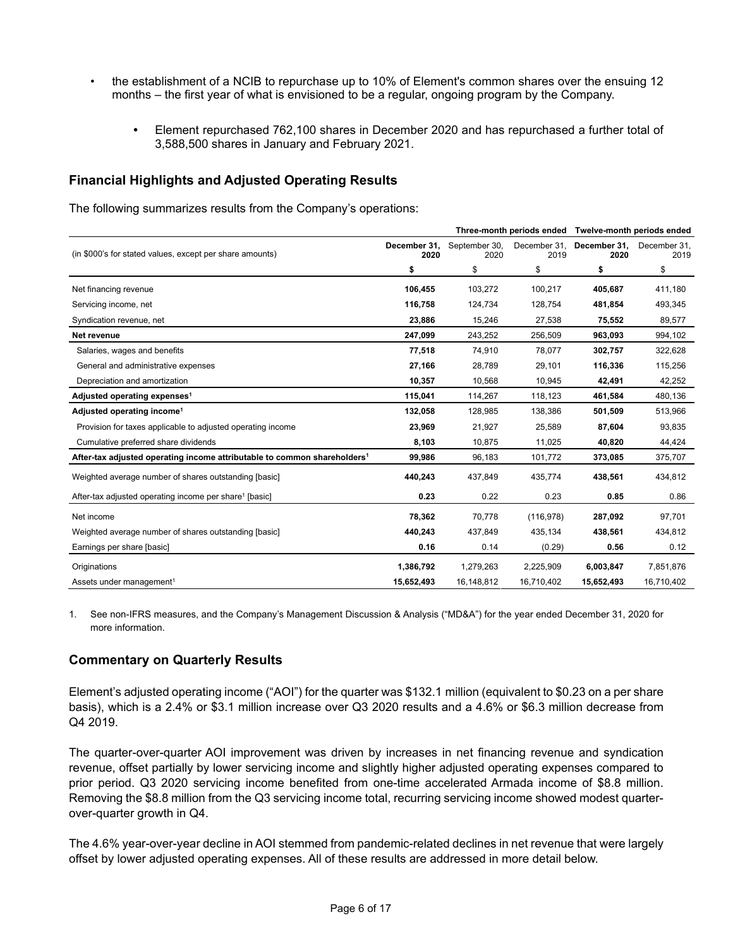- the establishment of a NCIB to repurchase up to 10% of Element's common shares over the ensuing 12 months – the first year of what is envisioned to be a regular, ongoing program by the Company.
	- **•** Element repurchased 762,100 shares in December 2020 and has repurchased a further total of 3,588,500 shares in January and February 2021.

# **Financial Highlights and Adjusted Operating Results**

The following summarizes results from the Company's operations:

|                                                                                      |                      | Three-month periods ended |                      | Twelve-month periods ended |                      |
|--------------------------------------------------------------------------------------|----------------------|---------------------------|----------------------|----------------------------|----------------------|
| (in \$000's for stated values, except per share amounts)                             | December 31,<br>2020 | September 30,<br>2020     | December 31,<br>2019 | December 31,<br>2020       | December 31.<br>2019 |
|                                                                                      | \$                   | \$                        | \$                   | \$                         | \$                   |
| Net financing revenue                                                                | 106,455              | 103,272                   | 100,217              | 405,687                    | 411,180              |
| Servicing income, net                                                                | 116,758              | 124,734                   | 128,754              | 481,854                    | 493,345              |
| Syndication revenue, net                                                             | 23,886               | 15,246                    | 27,538               | 75,552                     | 89,577               |
| Net revenue                                                                          | 247,099              | 243,252                   | 256,509              | 963,093                    | 994,102              |
| Salaries, wages and benefits                                                         | 77,518               | 74,910                    | 78,077               | 302,757                    | 322,628              |
| General and administrative expenses                                                  | 27,166               | 28,789                    | 29,101               | 116,336                    | 115,256              |
| Depreciation and amortization                                                        | 10,357               | 10,568                    | 10,945               | 42,491                     | 42,252               |
| Adjusted operating expenses <sup>1</sup>                                             | 115,041              | 114,267                   | 118,123              | 461.584                    | 480,136              |
| Adjusted operating income <sup>1</sup>                                               | 132,058              | 128,985                   | 138,386              | 501,509                    | 513,966              |
| Provision for taxes applicable to adjusted operating income                          | 23,969               | 21,927                    | 25,589               | 87,604                     | 93,835               |
| Cumulative preferred share dividends                                                 | 8,103                | 10,875                    | 11,025               | 40,820                     | 44,424               |
| After-tax adjusted operating income attributable to common shareholders <sup>1</sup> | 99,986               | 96,183                    | 101,772              | 373,085                    | 375,707              |
| Weighted average number of shares outstanding [basic]                                | 440,243              | 437,849                   | 435,774              | 438,561                    | 434,812              |
| After-tax adjusted operating income per share <sup>1</sup> [basic]                   | 0.23                 | 0.22                      | 0.23                 | 0.85                       | 0.86                 |
| Net income                                                                           | 78,362               | 70,778                    | (116, 978)           | 287,092                    | 97,701               |
| Weighted average number of shares outstanding [basic]                                | 440,243              | 437,849                   | 435,134              | 438,561                    | 434,812              |
| Earnings per share [basic]                                                           | 0.16                 | 0.14                      | (0.29)               | 0.56                       | 0.12                 |
| Originations                                                                         | 1,386,792            | 1,279,263                 | 2,225,909            | 6,003,847                  | 7,851,876            |
| Assets under management <sup>1</sup>                                                 | 15,652,493           | 16,148,812                | 16,710,402           | 15,652,493                 | 16,710,402           |

1. See non-IFRS measures, and the Company's Management Discussion & Analysis ("MD&A") for the year ended December 31, 2020 for more information.

# **Commentary on Quarterly Results**

Element's adjusted operating income ("AOI") for the quarter was \$132.1 million (equivalent to \$0.23 on a per share basis), which is a 2.4% or \$3.1 million increase over Q3 2020 results and a 4.6% or \$6.3 million decrease from Q4 2019.

The quarter-over-quarter AOI improvement was driven by increases in net financing revenue and syndication revenue, offset partially by lower servicing income and slightly higher adjusted operating expenses compared to prior period. Q3 2020 servicing income benefited from one-time accelerated Armada income of \$8.8 million. Removing the \$8.8 million from the Q3 servicing income total, recurring servicing income showed modest quarterover-quarter growth in Q4.

The 4.6% year-over-year decline in AOI stemmed from pandemic-related declines in net revenue that were largely offset by lower adjusted operating expenses. All of these results are addressed in more detail below.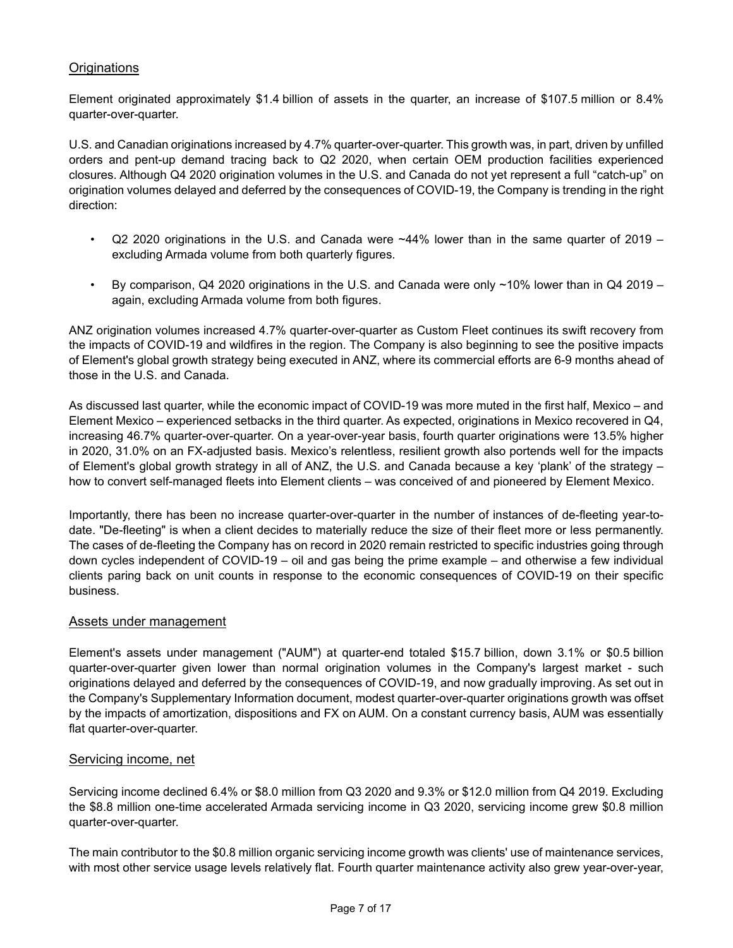# **Originations**

Element originated approximately \$1.4 billion of assets in the quarter, an increase of \$107.5 million or 8.4% quarter-over-quarter.

U.S. and Canadian originations increased by 4.7% quarter-over-quarter. This growth was, in part, driven by unfilled orders and pent-up demand tracing back to Q2 2020, when certain OEM production facilities experienced closures. Although Q4 2020 origination volumes in the U.S. and Canada do not yet represent a full "catch-up" on origination volumes delayed and deferred by the consequences of COVID-19, the Company is trending in the right direction:

- Q2 2020 originations in the U.S. and Canada were ~44% lower than in the same quarter of 2019 excluding Armada volume from both quarterly figures.
- By comparison, Q4 2020 originations in the U.S. and Canada were only  $\sim$ 10% lower than in Q4 2019 again, excluding Armada volume from both figures.

ANZ origination volumes increased 4.7% quarter-over-quarter as Custom Fleet continues its swift recovery from the impacts of COVID-19 and wildfires in the region. The Company is also beginning to see the positive impacts of Element's global growth strategy being executed in ANZ, where its commercial efforts are 6-9 months ahead of those in the U.S. and Canada.

As discussed last quarter, while the economic impact of COVID-19 was more muted in the first half, Mexico – and Element Mexico – experienced setbacks in the third quarter. As expected, originations in Mexico recovered in Q4, increasing 46.7% quarter-over-quarter. On a year-over-year basis, fourth quarter originations were 13.5% higher in 2020, 31.0% on an FX-adjusted basis. Mexico's relentless, resilient growth also portends well for the impacts of Element's global growth strategy in all of ANZ, the U.S. and Canada because a key 'plank' of the strategy – how to convert self-managed fleets into Element clients – was conceived of and pioneered by Element Mexico.

Importantly, there has been no increase quarter-over-quarter in the number of instances of de-fleeting year-todate. "De-fleeting" is when a client decides to materially reduce the size of their fleet more or less permanently. The cases of de-fleeting the Company has on record in 2020 remain restricted to specific industries going through down cycles independent of COVID-19 – oil and gas being the prime example – and otherwise a few individual clients paring back on unit counts in response to the economic consequences of COVID-19 on their specific business.

# Assets under management

Element's assets under management ("AUM") at quarter-end totaled \$15.7 billion, down 3.1% or \$0.5 billion quarter-over-quarter given lower than normal origination volumes in the Company's largest market - such originations delayed and deferred by the consequences of COVID-19, and now gradually improving. As set out in the Company's Supplementary Information document, modest quarter-over-quarter originations growth was offset by the impacts of amortization, dispositions and FX on AUM. On a constant currency basis, AUM was essentially flat quarter-over-quarter.

# Servicing income, net

Servicing income declined 6.4% or \$8.0 million from Q3 2020 and 9.3% or \$12.0 million from Q4 2019. Excluding the \$8.8 million one-time accelerated Armada servicing income in Q3 2020, servicing income grew \$0.8 million quarter-over-quarter.

The main contributor to the \$0.8 million organic servicing income growth was clients' use of maintenance services, with most other service usage levels relatively flat. Fourth quarter maintenance activity also grew year-over-year,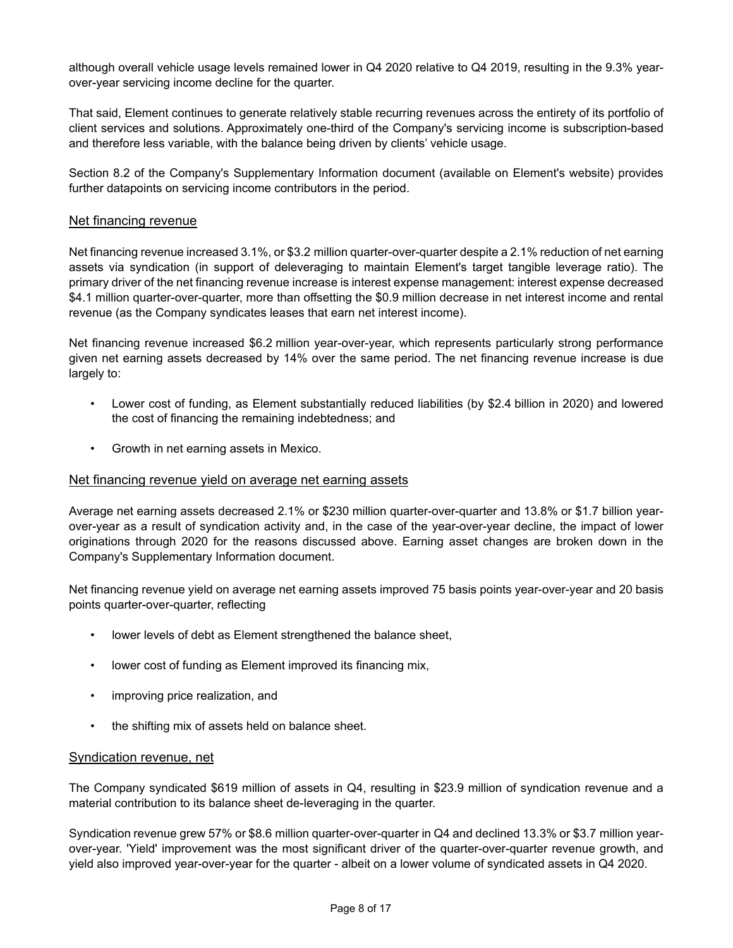although overall vehicle usage levels remained lower in Q4 2020 relative to Q4 2019, resulting in the 9.3% yearover-year servicing income decline for the quarter.

That said, Element continues to generate relatively stable recurring revenues across the entirety of its portfolio of client services and solutions. Approximately one-third of the Company's servicing income is subscription-based and therefore less variable, with the balance being driven by clients' vehicle usage.

Section 8.2 of the Company's Supplementary Information document (available on Element's website) provides further datapoints on servicing income contributors in the period.

## Net financing revenue

Net financing revenue increased 3.1%, or \$3.2 million quarter-over-quarter despite a 2.1% reduction of net earning assets via syndication (in support of deleveraging to maintain Element's target tangible leverage ratio). The primary driver of the net financing revenue increase is interest expense management: interest expense decreased \$4.1 million quarter-over-quarter, more than offsetting the \$0.9 million decrease in net interest income and rental revenue (as the Company syndicates leases that earn net interest income).

Net financing revenue increased \$6.2 million year-over-year, which represents particularly strong performance given net earning assets decreased by 14% over the same period. The net financing revenue increase is due largely to:

- Lower cost of funding, as Element substantially reduced liabilities (by \$2.4 billion in 2020) and lowered the cost of financing the remaining indebtedness; and
- Growth in net earning assets in Mexico.

#### Net financing revenue yield on average net earning assets

Average net earning assets decreased 2.1% or \$230 million quarter-over-quarter and 13.8% or \$1.7 billion yearover-year as a result of syndication activity and, in the case of the year-over-year decline, the impact of lower originations through 2020 for the reasons discussed above. Earning asset changes are broken down in the Company's Supplementary Information document.

Net financing revenue yield on average net earning assets improved 75 basis points year-over-year and 20 basis points quarter-over-quarter, reflecting

- lower levels of debt as Element strengthened the balance sheet,
- lower cost of funding as Element improved its financing mix,
- improving price realization, and
- the shifting mix of assets held on balance sheet.

#### Syndication revenue, net

The Company syndicated \$619 million of assets in Q4, resulting in \$23.9 million of syndication revenue and a material contribution to its balance sheet de-leveraging in the quarter.

Syndication revenue grew 57% or \$8.6 million quarter-over-quarter in Q4 and declined 13.3% or \$3.7 million yearover-year. 'Yield' improvement was the most significant driver of the quarter-over-quarter revenue growth, and yield also improved year-over-year for the quarter - albeit on a lower volume of syndicated assets in Q4 2020.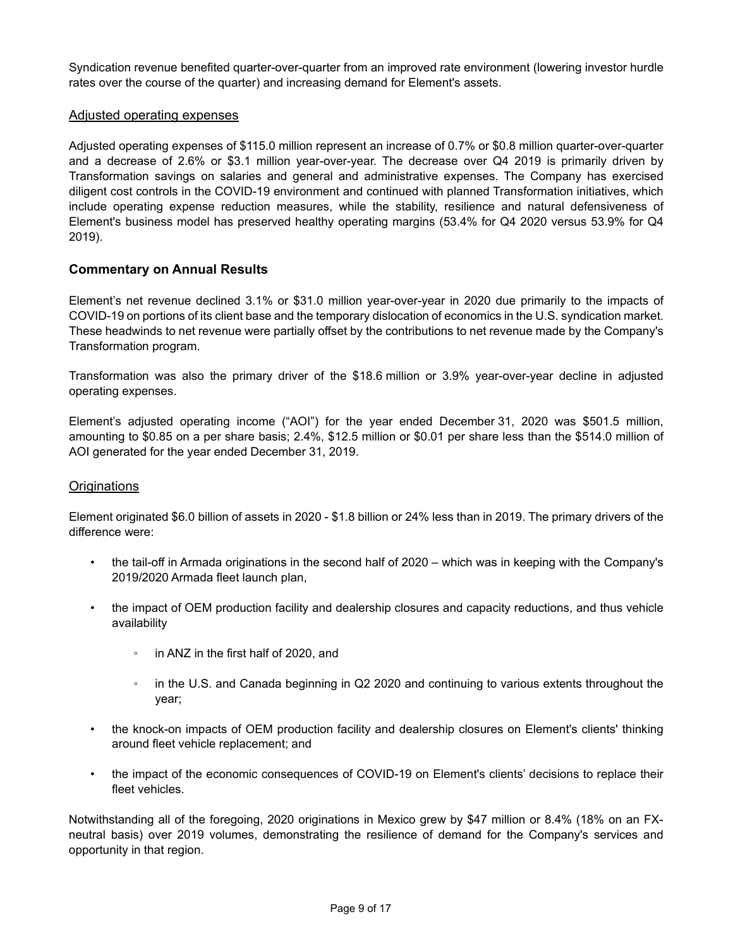Syndication revenue benefited quarter-over-quarter from an improved rate environment (lowering investor hurdle rates over the course of the quarter) and increasing demand for Element's assets.

# Adjusted operating expenses

Adjusted operating expenses of \$115.0 million represent an increase of 0.7% or \$0.8 million quarter-over-quarter and a decrease of 2.6% or \$3.1 million year-over-year. The decrease over Q4 2019 is primarily driven by Transformation savings on salaries and general and administrative expenses. The Company has exercised diligent cost controls in the COVID-19 environment and continued with planned Transformation initiatives, which include operating expense reduction measures, while the stability, resilience and natural defensiveness of Element's business model has preserved healthy operating margins (53.4% for Q4 2020 versus 53.9% for Q4 2019).

# **Commentary on Annual Results**

Element's net revenue declined 3.1% or \$31.0 million year-over-year in 2020 due primarily to the impacts of COVID-19 on portions of its client base and the temporary dislocation of economics in the U.S. syndication market. These headwinds to net revenue were partially offset by the contributions to net revenue made by the Company's Transformation program.

Transformation was also the primary driver of the \$18.6 million or 3.9% year-over-year decline in adjusted operating expenses.

Element's adjusted operating income ("AOI") for the year ended December 31, 2020 was \$501.5 million, amounting to \$0.85 on a per share basis; 2.4%, \$12.5 million or \$0.01 per share less than the \$514.0 million of AOI generated for the year ended December 31, 2019.

# **Originations**

Element originated \$6.0 billion of assets in 2020 - \$1.8 billion or 24% less than in 2019. The primary drivers of the difference were:

- the tail-off in Armada originations in the second half of 2020 which was in keeping with the Company's 2019/2020 Armada fleet launch plan,
- the impact of OEM production facility and dealership closures and capacity reductions, and thus vehicle availability
	- in ANZ in the first half of 2020, and
	- in the U.S. and Canada beginning in Q2 2020 and continuing to various extents throughout the year;
- the knock-on impacts of OEM production facility and dealership closures on Element's clients' thinking around fleet vehicle replacement; and
- the impact of the economic consequences of COVID-19 on Element's clients' decisions to replace their fleet vehicles.

Notwithstanding all of the foregoing, 2020 originations in Mexico grew by \$47 million or 8.4% (18% on an FXneutral basis) over 2019 volumes, demonstrating the resilience of demand for the Company's services and opportunity in that region.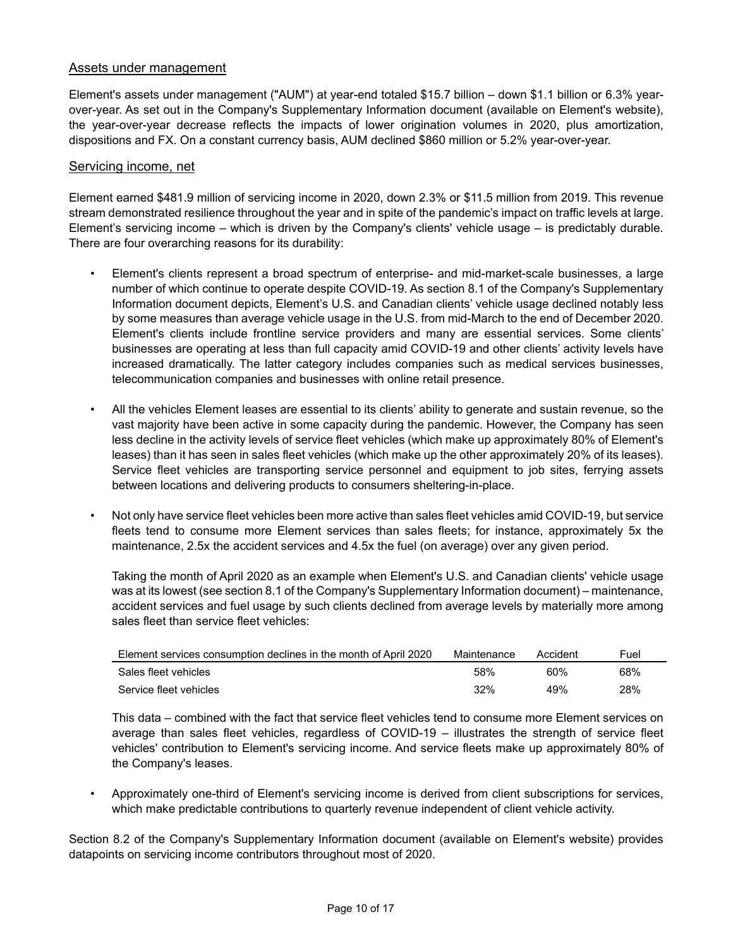# Assets under management

Element's assets under management ("AUM") at year-end totaled \$15.7 billion – down \$1.1 billion or 6.3% yearover-year. As set out in the Company's Supplementary Information document (available on Element's website), the year-over-year decrease reflects the impacts of lower origination volumes in 2020, plus amortization, dispositions and FX. On a constant currency basis, AUM declined \$860 million or 5.2% year-over-year.

# Servicing income, net

Element earned \$481.9 million of servicing income in 2020, down 2.3% or \$11.5 million from 2019. This revenue stream demonstrated resilience throughout the year and in spite of the pandemic's impact on traffic levels at large. Element's servicing income – which is driven by the Company's clients' vehicle usage – is predictably durable. There are four overarching reasons for its durability:

- Element's clients represent a broad spectrum of enterprise- and mid-market-scale businesses, a large number of which continue to operate despite COVID-19. As section 8.1 of the Company's Supplementary Information document depicts, Element's U.S. and Canadian clients' vehicle usage declined notably less by some measures than average vehicle usage in the U.S. from mid-March to the end of December 2020. Element's clients include frontline service providers and many are essential services. Some clients' businesses are operating at less than full capacity amid COVID-19 and other clients' activity levels have increased dramatically. The latter category includes companies such as medical services businesses, telecommunication companies and businesses with online retail presence.
- All the vehicles Element leases are essential to its clients' ability to generate and sustain revenue, so the vast majority have been active in some capacity during the pandemic. However, the Company has seen less decline in the activity levels of service fleet vehicles (which make up approximately 80% of Element's leases) than it has seen in sales fleet vehicles (which make up the other approximately 20% of its leases). Service fleet vehicles are transporting service personnel and equipment to job sites, ferrying assets between locations and delivering products to consumers sheltering-in-place.
- Not only have service fleet vehicles been more active than sales fleet vehicles amid COVID-19, but service fleets tend to consume more Element services than sales fleets; for instance, approximately 5x the maintenance, 2.5x the accident services and 4.5x the fuel (on average) over any given period.

Taking the month of April 2020 as an example when Element's U.S. and Canadian clients' vehicle usage was at its lowest (see section 8.1 of the Company's Supplementary Information document) – maintenance, accident services and fuel usage by such clients declined from average levels by materially more among sales fleet than service fleet vehicles:

| Element services consumption declines in the month of April 2020 | Maintenance | Accident | Fuel |
|------------------------------------------------------------------|-------------|----------|------|
| Sales fleet vehicles                                             | 58%         | 60%      | 68%  |
| Service fleet vehicles                                           | 32%         | 49%      | 28%  |

This data – combined with the fact that service fleet vehicles tend to consume more Element services on average than sales fleet vehicles, regardless of COVID-19 – illustrates the strength of service fleet vehicles' contribution to Element's servicing income. And service fleets make up approximately 80% of the Company's leases.

• Approximately one-third of Element's servicing income is derived from client subscriptions for services, which make predictable contributions to quarterly revenue independent of client vehicle activity.

Section 8.2 of the Company's Supplementary Information document (available on Element's website) provides datapoints on servicing income contributors throughout most of 2020.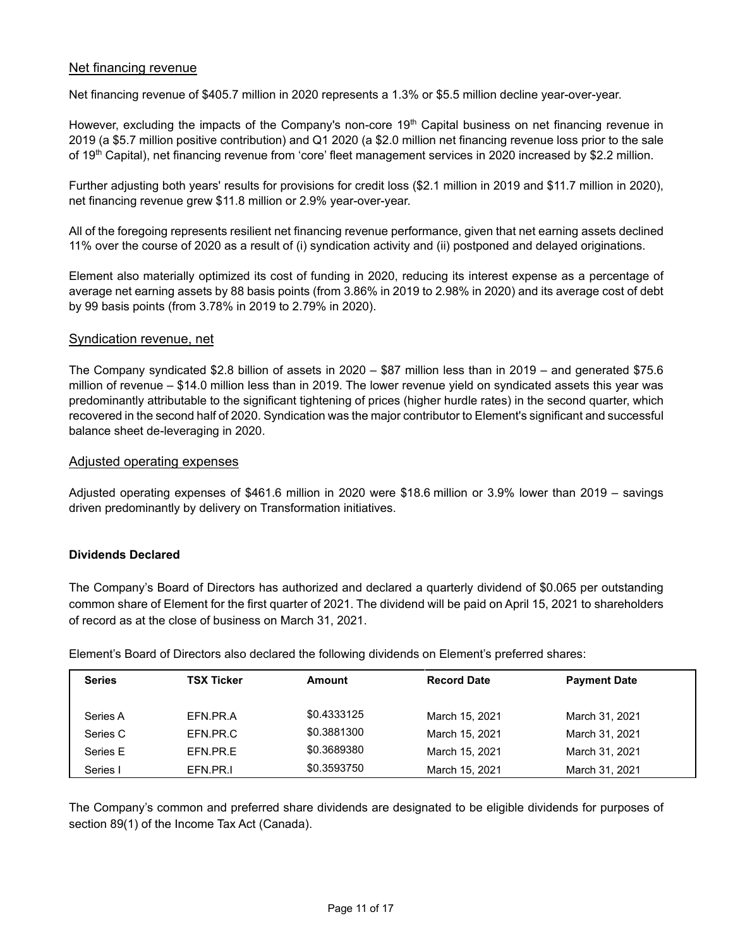# Net financing revenue

Net financing revenue of \$405.7 million in 2020 represents a 1.3% or \$5.5 million decline year-over-year.

However, excluding the impacts of the Company's non-core 19<sup>th</sup> Capital business on net financing revenue in 2019 (a \$5.7 million positive contribution) and Q1 2020 (a \$2.0 million net financing revenue loss prior to the sale of 19th Capital), net financing revenue from 'core' fleet management services in 2020 increased by \$2.2 million.

Further adjusting both years' results for provisions for credit loss (\$2.1 million in 2019 and \$11.7 million in 2020), net financing revenue grew \$11.8 million or 2.9% year-over-year.

All of the foregoing represents resilient net financing revenue performance, given that net earning assets declined 11% over the course of 2020 as a result of (i) syndication activity and (ii) postponed and delayed originations.

Element also materially optimized its cost of funding in 2020, reducing its interest expense as a percentage of average net earning assets by 88 basis points (from 3.86% in 2019 to 2.98% in 2020) and its average cost of debt by 99 basis points (from 3.78% in 2019 to 2.79% in 2020).

### Syndication revenue, net

The Company syndicated \$2.8 billion of assets in 2020 – \$87 million less than in 2019 – and generated \$75.6 million of revenue – \$14.0 million less than in 2019. The lower revenue yield on syndicated assets this year was predominantly attributable to the significant tightening of prices (higher hurdle rates) in the second quarter, which recovered in the second half of 2020. Syndication was the major contributor to Element's significant and successful balance sheet de-leveraging in 2020.

### Adjusted operating expenses

Adjusted operating expenses of \$461.6 million in 2020 were \$18.6 million or 3.9% lower than 2019 – savings driven predominantly by delivery on Transformation initiatives.

### **Dividends Declared**

The Company's Board of Directors has authorized and declared a quarterly dividend of \$0.065 per outstanding common share of Element for the first quarter of 2021. The dividend will be paid on April 15, 2021 to shareholders of record as at the close of business on March 31, 2021.

| <b>Series</b> | <b>TSX Ticker</b> | Amount      | <b>Record Date</b> | <b>Payment Date</b> |
|---------------|-------------------|-------------|--------------------|---------------------|
| Series A      | FFN PR A          | \$0.4333125 | March 15, 2021     | March 31, 2021      |
| Series C      | EFN.PR.C          | \$0.3881300 | March 15, 2021     | March 31, 2021      |
| Series E      | FFN.PR.F          | \$0.3689380 | March 15, 2021     | March 31, 2021      |
| Series I      | EFN.PR.I          | \$0.3593750 | March 15, 2021     | March 31, 2021      |

Element's Board of Directors also declared the following dividends on Element's preferred shares:

The Company's common and preferred share dividends are designated to be eligible dividends for purposes of section 89(1) of the Income Tax Act (Canada).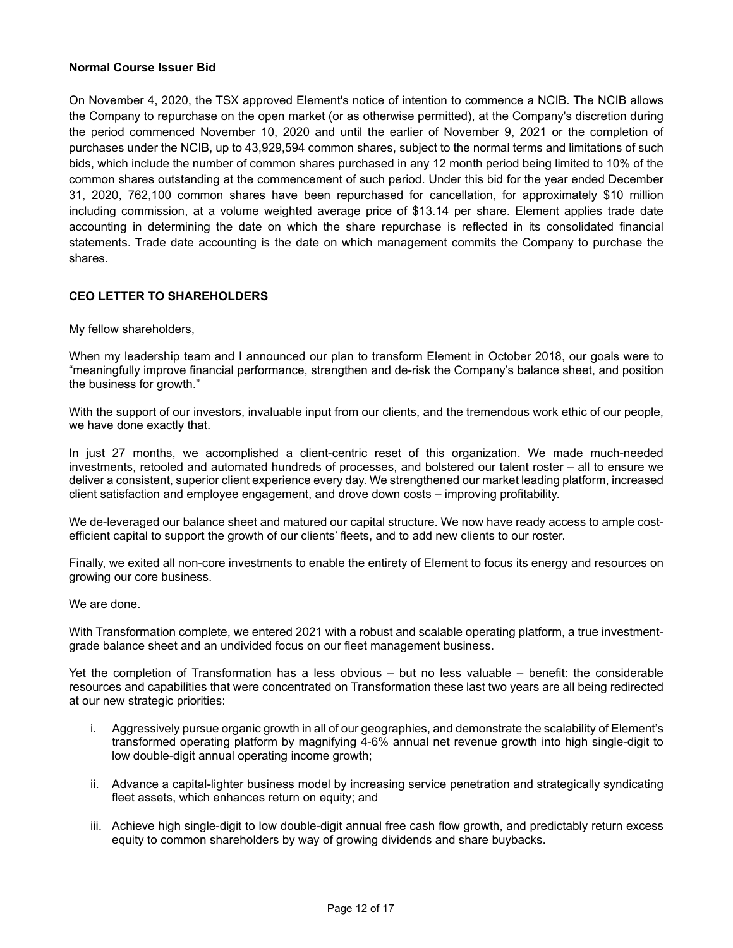#### **Normal Course Issuer Bid**

On November 4, 2020, the TSX approved Element's notice of intention to commence a NCIB. The NCIB allows the Company to repurchase on the open market (or as otherwise permitted), at the Company's discretion during the period commenced November 10, 2020 and until the earlier of November 9, 2021 or the completion of purchases under the NCIB, up to 43,929,594 common shares, subject to the normal terms and limitations of such bids, which include the number of common shares purchased in any 12 month period being limited to 10% of the common shares outstanding at the commencement of such period. Under this bid for the year ended December 31, 2020, 762,100 common shares have been repurchased for cancellation, for approximately \$10 million including commission, at a volume weighted average price of \$13.14 per share. Element applies trade date accounting in determining the date on which the share repurchase is reflected in its consolidated financial statements. Trade date accounting is the date on which management commits the Company to purchase the shares.

# **CEO LETTER TO SHAREHOLDERS**

My fellow shareholders,

When my leadership team and I announced our plan to transform Element in October 2018, our goals were to "meaningfully improve financial performance, strengthen and de-risk the Company's balance sheet, and position the business for growth."

With the support of our investors, invaluable input from our clients, and the tremendous work ethic of our people, we have done exactly that.

In just 27 months, we accomplished a client-centric reset of this organization. We made much-needed investments, retooled and automated hundreds of processes, and bolstered our talent roster – all to ensure we deliver a consistent, superior client experience every day. We strengthened our market leading platform, increased client satisfaction and employee engagement, and drove down costs – improving profitability.

We de-leveraged our balance sheet and matured our capital structure. We now have ready access to ample costefficient capital to support the growth of our clients' fleets, and to add new clients to our roster.

Finally, we exited all non-core investments to enable the entirety of Element to focus its energy and resources on growing our core business.

We are done.

With Transformation complete, we entered 2021 with a robust and scalable operating platform, a true investmentgrade balance sheet and an undivided focus on our fleet management business.

Yet the completion of Transformation has a less obvious – but no less valuable – benefit: the considerable resources and capabilities that were concentrated on Transformation these last two years are all being redirected at our new strategic priorities:

- i. Aggressively pursue organic growth in all of our geographies, and demonstrate the scalability of Element's transformed operating platform by magnifying 4-6% annual net revenue growth into high single-digit to low double-digit annual operating income growth;
- ii. Advance a capital-lighter business model by increasing service penetration and strategically syndicating fleet assets, which enhances return on equity; and
- iii. Achieve high single-digit to low double-digit annual free cash flow growth, and predictably return excess equity to common shareholders by way of growing dividends and share buybacks.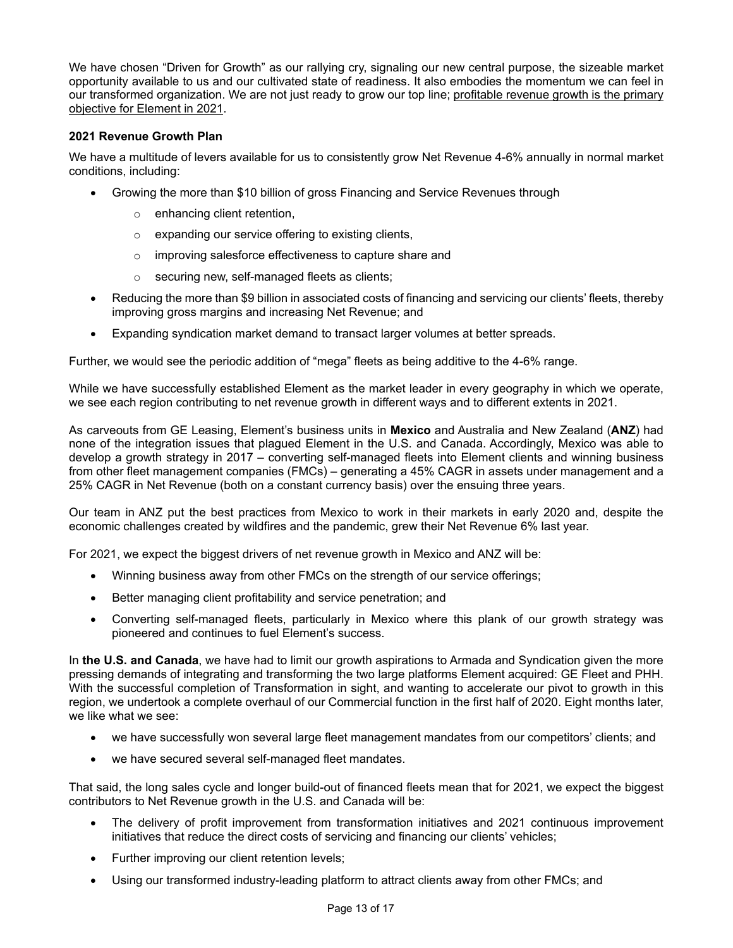We have chosen "Driven for Growth" as our rallying cry, signaling our new central purpose, the sizeable market opportunity available to us and our cultivated state of readiness. It also embodies the momentum we can feel in our transformed organization. We are not just ready to grow our top line; profitable revenue growth is the primary objective for Element in 2021.

# **2021 Revenue Growth Plan**

We have a multitude of levers available for us to consistently grow Net Revenue 4-6% annually in normal market conditions, including:

- Growing the more than \$10 billion of gross Financing and Service Revenues through
	- o enhancing client retention,
	- o expanding our service offering to existing clients,
	- o improving salesforce effectiveness to capture share and
	- o securing new, self-managed fleets as clients;
- Reducing the more than \$9 billion in associated costs of financing and servicing our clients' fleets, thereby improving gross margins and increasing Net Revenue; and
- Expanding syndication market demand to transact larger volumes at better spreads.

Further, we would see the periodic addition of "mega" fleets as being additive to the 4-6% range.

While we have successfully established Element as the market leader in every geography in which we operate, we see each region contributing to net revenue growth in different ways and to different extents in 2021.

As carveouts from GE Leasing, Element's business units in **Mexico** and Australia and New Zealand (**ANZ**) had none of the integration issues that plagued Element in the U.S. and Canada. Accordingly, Mexico was able to develop a growth strategy in 2017 – converting self-managed fleets into Element clients and winning business from other fleet management companies (FMCs) – generating a 45% CAGR in assets under management and a 25% CAGR in Net Revenue (both on a constant currency basis) over the ensuing three years.

Our team in ANZ put the best practices from Mexico to work in their markets in early 2020 and, despite the economic challenges created by wildfires and the pandemic, grew their Net Revenue 6% last year.

For 2021, we expect the biggest drivers of net revenue growth in Mexico and ANZ will be:

- Winning business away from other FMCs on the strength of our service offerings;
- Better managing client profitability and service penetration; and
- Converting self-managed fleets, particularly in Mexico where this plank of our growth strategy was pioneered and continues to fuel Element's success.

In **the U.S. and Canada**, we have had to limit our growth aspirations to Armada and Syndication given the more pressing demands of integrating and transforming the two large platforms Element acquired: GE Fleet and PHH. With the successful completion of Transformation in sight, and wanting to accelerate our pivot to growth in this region, we undertook a complete overhaul of our Commercial function in the first half of 2020. Eight months later, we like what we see:

- we have successfully won several large fleet management mandates from our competitors' clients; and
- we have secured several self-managed fleet mandates.

That said, the long sales cycle and longer build-out of financed fleets mean that for 2021, we expect the biggest contributors to Net Revenue growth in the U.S. and Canada will be:

- The delivery of profit improvement from transformation initiatives and 2021 continuous improvement initiatives that reduce the direct costs of servicing and financing our clients' vehicles;
- Further improving our client retention levels;
- Using our transformed industry-leading platform to attract clients away from other FMCs; and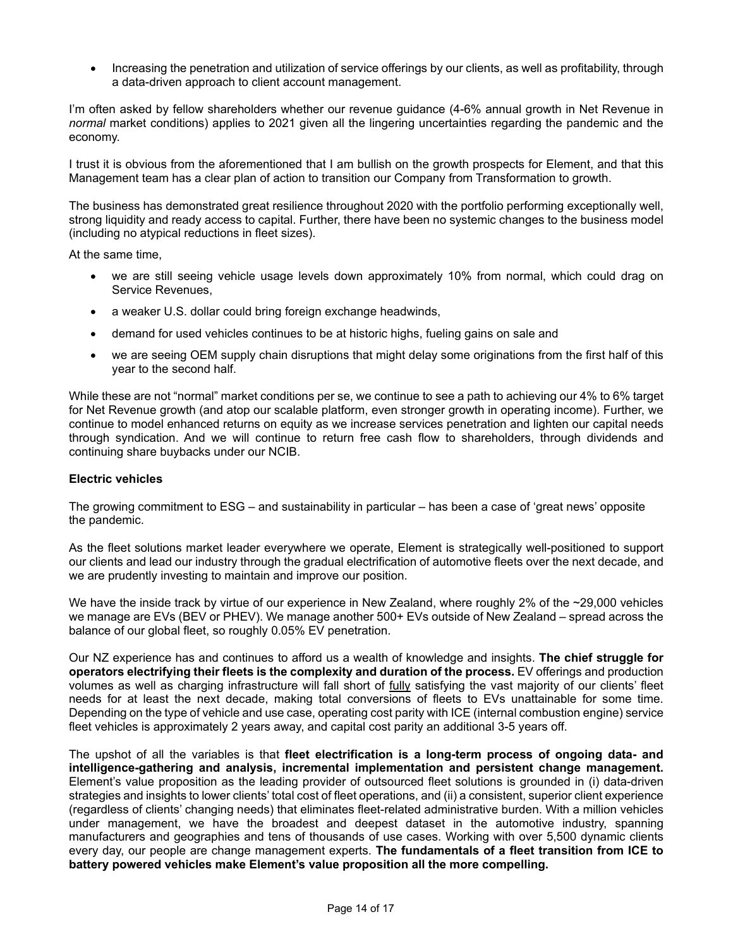• Increasing the penetration and utilization of service offerings by our clients, as well as profitability, through a data-driven approach to client account management.

I'm often asked by fellow shareholders whether our revenue guidance (4-6% annual growth in Net Revenue in *normal* market conditions) applies to 2021 given all the lingering uncertainties regarding the pandemic and the economy.

I trust it is obvious from the aforementioned that I am bullish on the growth prospects for Element, and that this Management team has a clear plan of action to transition our Company from Transformation to growth.

The business has demonstrated great resilience throughout 2020 with the portfolio performing exceptionally well, strong liquidity and ready access to capital. Further, there have been no systemic changes to the business model (including no atypical reductions in fleet sizes).

At the same time,

- we are still seeing vehicle usage levels down approximately 10% from normal, which could drag on Service Revenues,
- a weaker U.S. dollar could bring foreign exchange headwinds,
- demand for used vehicles continues to be at historic highs, fueling gains on sale and
- we are seeing OEM supply chain disruptions that might delay some originations from the first half of this year to the second half.

While these are not "normal" market conditions per se, we continue to see a path to achieving our 4% to 6% target for Net Revenue growth (and atop our scalable platform, even stronger growth in operating income). Further, we continue to model enhanced returns on equity as we increase services penetration and lighten our capital needs through syndication. And we will continue to return free cash flow to shareholders, through dividends and continuing share buybacks under our NCIB.

#### **Electric vehicles**

The growing commitment to ESG – and sustainability in particular – has been a case of 'great news' opposite the pandemic.

As the fleet solutions market leader everywhere we operate, Element is strategically well-positioned to support our clients and lead our industry through the gradual electrification of automotive fleets over the next decade, and we are prudently investing to maintain and improve our position.

We have the inside track by virtue of our experience in New Zealand, where roughly 2% of the ~29,000 vehicles we manage are EVs (BEV or PHEV). We manage another 500+ EVs outside of New Zealand – spread across the balance of our global fleet, so roughly 0.05% EV penetration.

Our NZ experience has and continues to afford us a wealth of knowledge and insights. **The chief struggle for operators electrifying their fleets is the complexity and duration of the process.** EV offerings and production volumes as well as charging infrastructure will fall short of fully satisfying the vast majority of our clients' fleet needs for at least the next decade, making total conversions of fleets to EVs unattainable for some time. Depending on the type of vehicle and use case, operating cost parity with ICE (internal combustion engine) service fleet vehicles is approximately 2 years away, and capital cost parity an additional 3-5 years off.

The upshot of all the variables is that **fleet electrification is a long-term process of ongoing data- and intelligence-gathering and analysis, incremental implementation and persistent change management.**  Element's value proposition as the leading provider of outsourced fleet solutions is grounded in (i) data-driven strategies and insights to lower clients' total cost of fleet operations, and (ii) a consistent, superior client experience (regardless of clients' changing needs) that eliminates fleet-related administrative burden. With a million vehicles under management, we have the broadest and deepest dataset in the automotive industry, spanning manufacturers and geographies and tens of thousands of use cases. Working with over 5,500 dynamic clients every day, our people are change management experts. **The fundamentals of a fleet transition from ICE to battery powered vehicles make Element's value proposition all the more compelling.**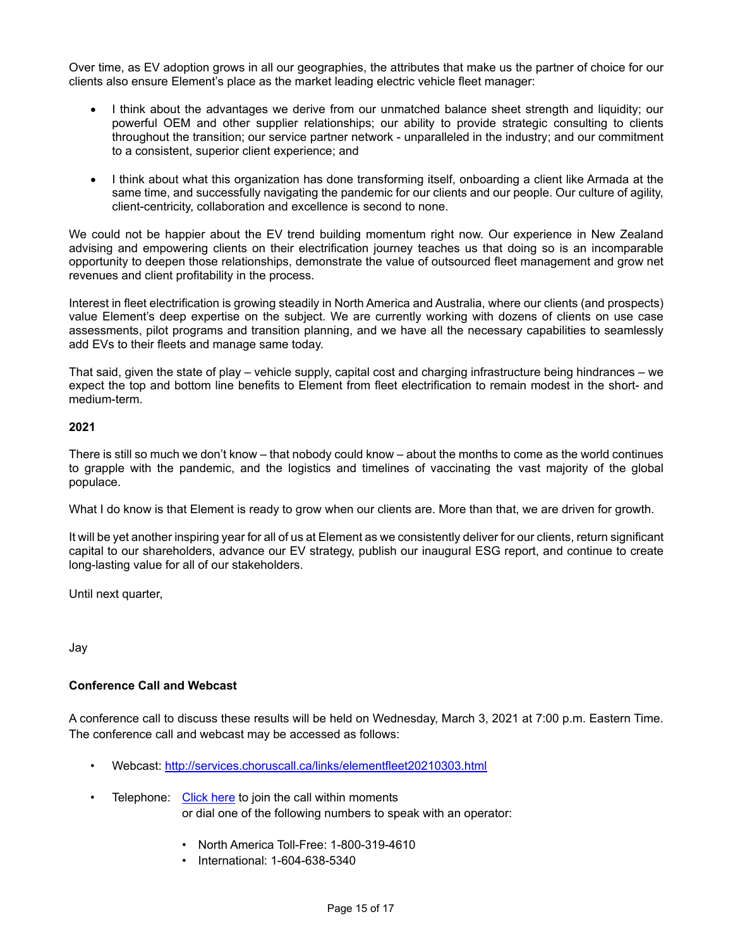Over time, as EV adoption grows in all our geographies, the attributes that make us the partner of choice for our clients also ensure Element's place as the market leading electric vehicle fleet manager:

- I think about the advantages we derive from our unmatched balance sheet strength and liquidity; our powerful OEM and other supplier relationships; our ability to provide strategic consulting to clients throughout the transition; our service partner network - unparalleled in the industry; and our commitment to a consistent, superior client experience; and
- I think about what this organization has done transforming itself, onboarding a client like Armada at the same time, and successfully navigating the pandemic for our clients and our people. Our culture of agility, client-centricity, collaboration and excellence is second to none.

We could not be happier about the EV trend building momentum right now. Our experience in New Zealand advising and empowering clients on their electrification journey teaches us that doing so is an incomparable opportunity to deepen those relationships, demonstrate the value of outsourced fleet management and grow net revenues and client profitability in the process.

Interest in fleet electrification is growing steadily in North America and Australia, where our clients (and prospects) value Element's deep expertise on the subject. We are currently working with dozens of clients on use case assessments, pilot programs and transition planning, and we have all the necessary capabilities to seamlessly add EVs to their fleets and manage same today.

That said, given the state of play – vehicle supply, capital cost and charging infrastructure being hindrances – we expect the top and bottom line benefits to Element from fleet electrification to remain modest in the short- and medium-term.

# **2021**

There is still so much we don't know – that nobody could know – about the months to come as the world continues to grapple with the pandemic, and the logistics and timelines of vaccinating the vast majority of the global populace.

What I do know is that Element is ready to grow when our clients are. More than that, we are driven for growth.

It will be yet another inspiring year for all of us at Element as we consistently deliver for our clients, return significant capital to our shareholders, advance our EV strategy, publish our inaugural ESG report, and continue to create long-lasting value for all of our stakeholders.

Until next quarter,

Jay

# **Conference Call and Webcast**

A conference call to discuss these results will be held on Wednesday, March 3, 2021 at 7:00 p.m. Eastern Time. The conference call and webcast may be accessed as follows:

- Webcast:<http://services.choruscall.ca/links/elementfleet20210303.html>
- Telephone: [Click here](https://hd.choruscall.com/?$Y2FsbG1lPXRydWUmcGFzc2NvZGU9MTcwNzQmaD10cnVlJmluZm89Y29tcGFueSZyPXRydWUmYj0z) to join the call within moments or dial one of the following numbers to speak with an operator:
	- North America Toll-Free: 1-800-319-4610
	- International: 1-604-638-5340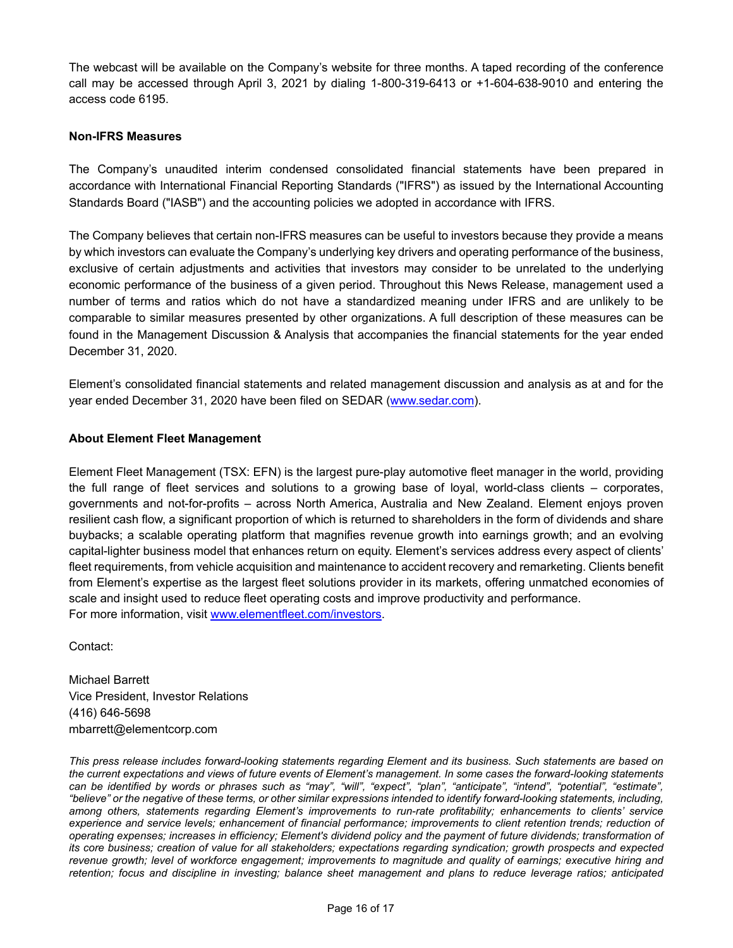The webcast will be available on the Company's website for three months. A taped recording of the conference call may be accessed through April 3, 2021 by dialing 1-800-319-6413 or +1-604-638-9010 and entering the access code 6195.

## **Non-IFRS Measures**

The Company's unaudited interim condensed consolidated financial statements have been prepared in accordance with International Financial Reporting Standards ("IFRS") as issued by the International Accounting Standards Board ("IASB") and the accounting policies we adopted in accordance with IFRS.

The Company believes that certain non-IFRS measures can be useful to investors because they provide a means by which investors can evaluate the Company's underlying key drivers and operating performance of the business, exclusive of certain adjustments and activities that investors may consider to be unrelated to the underlying economic performance of the business of a given period. Throughout this News Release, management used a number of terms and ratios which do not have a standardized meaning under IFRS and are unlikely to be comparable to similar measures presented by other organizations. A full description of these measures can be found in the Management Discussion & Analysis that accompanies the financial statements for the year ended December 31, 2020.

Element's consolidated financial statements and related management discussion and analysis as at and for the year ended December 31, 2020 have been filed on SEDAR [\(www.sedar.com\)](http://www.sedar.com/).

# **About Element Fleet Management**

Element Fleet Management (TSX: EFN) is the largest pure-play automotive fleet manager in the world, providing the full range of fleet services and solutions to a growing base of loyal, world-class clients – corporates, governments and not-for-profits – across North America, Australia and New Zealand. Element enjoys proven resilient cash flow, a significant proportion of which is returned to shareholders in the form of dividends and share buybacks; a scalable operating platform that magnifies revenue growth into earnings growth; and an evolving capital-lighter business model that enhances return on equity. Element's services address every aspect of clients' fleet requirements, from vehicle acquisition and maintenance to accident recovery and remarketing. Clients benefit from Element's expertise as the largest fleet solutions provider in its markets, offering unmatched economies of scale and insight used to reduce fleet operating costs and improve productivity and performance. For more information, visit [www.elementfleet.com/investors.](http://www.elementfleet.com/investors)

Contact:

Michael Barrett Vice President, Investor Relations (416) 646-5698 mbarrett@elementcorp.com

*This press release includes forward-looking statements regarding Element and its business. Such statements are based on the current expectations and views of future events of Element's management. In some cases the forward-looking statements can be identified by words or phrases such as "may", "will", "expect", "plan", "anticipate", "intend", "potential", "estimate", "believe" or the negative of these terms, or other similar expressions intended to identify forward-looking statements, including, among others, statements regarding Element's improvements to run-rate profitability; enhancements to clients' service experience and service levels; enhancement of financial performance; improvements to client retention trends; reduction of operating expenses; increases in efficiency; Element's dividend policy and the payment of future dividends; transformation of its core business; creation of value for all stakeholders; expectations regarding syndication; growth prospects and expected revenue growth; level of workforce engagement; improvements to magnitude and quality of earnings; executive hiring and retention; focus and discipline in investing; balance sheet management and plans to reduce leverage ratios; anticipated*